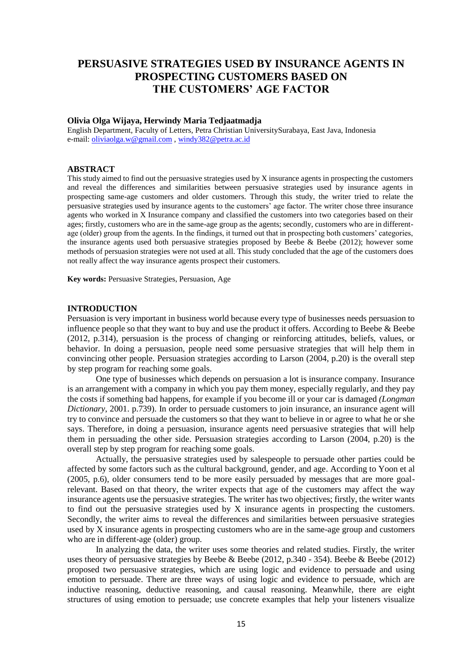# **PERSUASIVE STRATEGIES USED BY INSURANCE AGENTS IN PROSPECTING CUSTOMERS BASED ON THE CUSTOMERS' AGE FACTOR**

#### **Olivia Olga Wijaya, Herwindy Maria Tedjaatmadja**

English Department, Faculty of Letters, Petra Christian UniversitySurabaya, East Java, Indonesia e-mail: [oliviaolga.w@gmail.com](mailto:oliviaolga.w@gmail.com) [, windy382@petra.ac.id](mailto:windy382@petra.ac.id)

## **ABSTRACT**

This study aimed to find out the persuasive strategies used by X insurance agents in prospecting the customers and reveal the differences and similarities between persuasive strategies used by insurance agents in prospecting same-age customers and older customers. Through this study, the writer tried to relate the persuasive strategies used by insurance agents to the customers' age factor. The writer chose three insurance agents who worked in X Insurance company and classified the customers into two categories based on their ages; firstly, customers who are in the same-age group as the agents; secondly, customers who are in differentage (older) group from the agents. In the findings, it turned out that in prospecting both customers' categories, the insurance agents used both persuasive strategies proposed by Beebe & Beebe (2012); however some methods of persuasion strategies were not used at all. This study concluded that the age of the customers does not really affect the way insurance agents prospect their customers.

**Key words:** Persuasive Strategies, Persuasion, Age

#### **INTRODUCTION**

Persuasion is very important in business world because every type of businesses needs persuasion to influence people so that they want to buy and use the product it offers. According to Beebe & Beebe (2012, p.314), persuasion is the process of changing or reinforcing attitudes, beliefs, values, or behavior. In doing a persuasion, people need some persuasive strategies that will help them in convincing other people. Persuasion strategies according to Larson (2004, p.20) is the overall step by step program for reaching some goals.

One type of businesses which depends on persuasion a lot is insurance company. Insurance is an arrangement with a company in which you pay them money, especially regularly, and they pay the costs if something bad happens, for example if you become ill or your car is damaged *(Longman Dictionary*, 2001. p.739). In order to persuade customers to join insurance, an insurance agent will try to convince and persuade the customers so that they want to believe in or agree to what he or she says. Therefore, in doing a persuasion, insurance agents need persuasive strategies that will help them in persuading the other side. Persuasion strategies according to Larson (2004, p.20) is the overall step by step program for reaching some goals.

Actually, the persuasive strategies used by salespeople to persuade other parties could be affected by some factors such as the cultural background, gender, and age. According to Yoon et al (2005, p.6), older consumers tend to be more easily persuaded by messages that are more goalrelevant. Based on that theory, the writer expects that age of the customers may affect the way insurance agents use the persuasive strategies. The writer has two objectives; firstly, the writer wants to find out the persuasive strategies used by X insurance agents in prospecting the customers. Secondly, the writer aims to reveal the differences and similarities between persuasive strategies used by X insurance agents in prospecting customers who are in the same-age group and customers who are in different-age (older) group.

In analyzing the data, the writer uses some theories and related studies. Firstly, the writer uses theory of persuasive strategies by Beebe  $\&$  Beebe (2012, p.340 - 354). Beebe  $\&$  Beebe (2012) proposed two persuasive strategies, which are using logic and evidence to persuade and using emotion to persuade. There are three ways of using logic and evidence to persuade, which are inductive reasoning, deductive reasoning, and causal reasoning. Meanwhile, there are eight structures of using emotion to persuade; use concrete examples that help your listeners visualize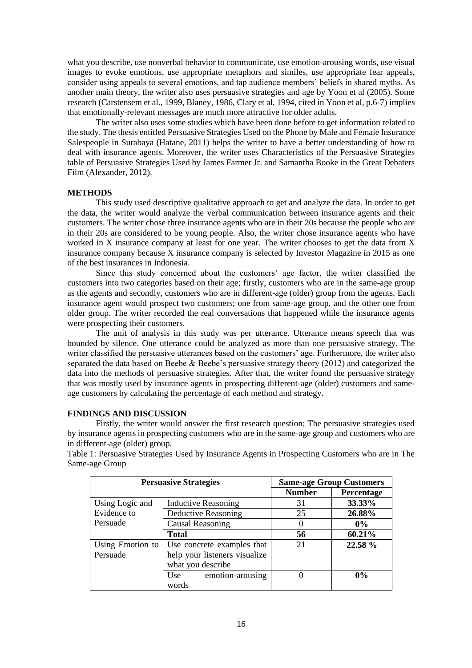what you describe, use nonverbal behavior to communicate, use emotion-arousing words, use visual images to evoke emotions, use appropriate metaphors and similes, use appropriate fear appeals, consider using appeals to several emotions, and tap audience members' beliefs in shared myths. As another main theory, the writer also uses persuasive strategies and age by Yoon et al (2005). Some research (Carstensem et al., 1999, Blaney, 1986, Clary et al, 1994, cited in Yoon et al, p.6-7) implies that emotionally-relevant messages are much more attractive for older adults.

The writer also uses some studies which have been done before to get information related to the study. The thesis entitled Persuasive Strategies Used on the Phone by Male and Female Insurance Salespeople in Surabaya (Hatane, 2011) helps the writer to have a better understanding of how to deal with insurance agents. Moreover, the writer uses Characteristics of the Persuasive Strategies table of Persuasive Strategies Used by James Farmer Jr. and Samantha Booke in the Great Debaters Film (Alexander, 2012).

#### **METHODS**

This study used descriptive qualitative approach to get and analyze the data. In order to get the data, the writer would analyze the verbal communication between insurance agents and their customers. The writer chose three insurance agents who are in their 20s because the people who are in their 20s are considered to be young people. Also, the writer chose insurance agents who have worked in X insurance company at least for one year. The writer chooses to get the data from X insurance company because X insurance company is selected by Investor Magazine in 2015 as one of the best insurances in Indonesia.

Since this study concerned about the customers' age factor, the writer classified the customers into two categories based on their age; firstly, customers who are in the same-age group as the agents and secondly, customers who are in different-age (older) group from the agents. Each insurance agent would prospect two customers; one from same-age group, and the other one from older group. The writer recorded the real conversations that happened while the insurance agents were prospecting their customers.

The unit of analysis in this study was per utterance. Utterance means speech that was bounded by silence. One utterance could be analyzed as more than one persuasive strategy. The writer classified the persuasive utterances based on the customers' age. Furthermore, the writer also separated the data based on Beebe & Beebe's persuasive strategy theory (2012) and categorized the data into the methods of persuasive strategies. After that, the writer found the persuasive strategy that was mostly used by insurance agents in prospecting different-age (older) customers and sameage customers by calculating the percentage of each method and strategy.

## **FINDINGS AND DISCUSSION**

Firstly, the writer would answer the first research question; The persuasive strategies used by insurance agents in prospecting customers who are in the same-age group and customers who are in different-age (older) group.

Table 1: Persuasive Strategies Used by Insurance Agents in Prospecting Customers who are in The Same-age Group

| <b>Persuasive Strategies</b> |                               | <b>Same-age Group Customers</b> |            |
|------------------------------|-------------------------------|---------------------------------|------------|
|                              |                               | <b>Number</b>                   | Percentage |
| Using Logic and              | <b>Inductive Reasoning</b>    | 31                              | 33.33%     |
| Evidence to                  | Deductive Reasoning           | 25                              | 26.88%     |
| Persuade                     | <b>Causal Reasoning</b>       | $\theta$                        | $0\%$      |
|                              | <b>Total</b>                  | 56                              | 60.21%     |
| Using Emotion to             | Use concrete examples that    | 21                              | 22.58 %    |
| Persuade                     | help your listeners visualize |                                 |            |
|                              | what you describe             |                                 |            |
|                              | emotion-arousing<br>Use       |                                 | 0%         |
|                              | words                         |                                 |            |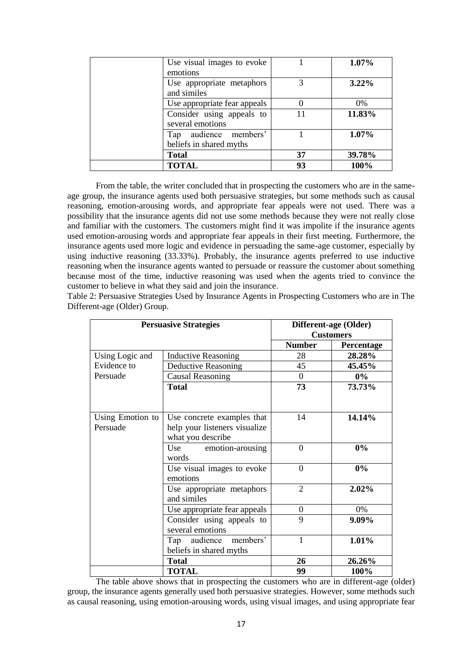| <b>TOTAL</b>                 | 93 | 100%     |
|------------------------------|----|----------|
| <b>Total</b>                 | 37 | 39.78%   |
| beliefs in shared myths      |    |          |
| Tap audience members'        |    | $1.07\%$ |
| several emotions             |    |          |
| Consider using appeals to    | 11 | 11.83%   |
| Use appropriate fear appeals |    | $0\%$    |
| and similes                  |    |          |
| Use appropriate metaphors    | 3  | $3.22\%$ |
| emotions                     |    |          |
| Use visual images to evoke   |    | $1.07\%$ |

From the table, the writer concluded that in prospecting the customers who are in the sameage group, the insurance agents used both persuasive strategies, but some methods such as causal reasoning, emotion-arousing words, and appropriate fear appeals were not used. There was a possibility that the insurance agents did not use some methods because they were not really close and familiar with the customers. The customers might find it was impolite if the insurance agents used emotion-arousing words and appropriate fear appeals in their first meeting. Furthermore, the insurance agents used more logic and evidence in persuading the same-age customer, especially by using inductive reasoning (33.33%). Probably, the insurance agents preferred to use inductive reasoning when the insurance agents wanted to persuade or reassure the customer about something because most of the time, inductive reasoning was used when the agents tried to convince the customer to believe in what they said and join the insurance.

| <b>Persuasive Strategies</b> |                                                                                  | Different-age (Older) |            |
|------------------------------|----------------------------------------------------------------------------------|-----------------------|------------|
|                              |                                                                                  | <b>Customers</b>      |            |
|                              |                                                                                  | <b>Number</b>         | Percentage |
| Using Logic and              | <b>Inductive Reasoning</b>                                                       | 28                    | 28.28%     |
| Evidence to                  | Deductive Reasoning                                                              | 45                    | 45.45%     |
| Persuade                     | <b>Causal Reasoning</b>                                                          | $\mathbf{0}$          | $0\%$      |
|                              | <b>Total</b>                                                                     | 73                    | 73.73%     |
| Using Emotion to<br>Persuade | Use concrete examples that<br>help your listeners visualize<br>what you describe | 14                    | 14.14%     |
|                              | Use<br>emotion-arousing<br>words                                                 | $\theta$              | 0%         |
|                              | Use visual images to evoke<br>emotions                                           | $\theta$              | 0%         |
|                              | Use appropriate metaphors<br>and similes                                         | 2                     | 2.02%      |
|                              | Use appropriate fear appeals                                                     | $\boldsymbol{0}$      | 0%         |
|                              | Consider using appeals to<br>several emotions                                    | 9                     | 9.09%      |
|                              | Tap audience members'<br>beliefs in shared myths                                 | $\mathbf{1}$          | 1.01%      |
|                              | <b>Total</b>                                                                     | 26                    | 26.26%     |
|                              | <b>TOTAL</b>                                                                     | 99                    | 100%       |

Table 2: Persuasive Strategies Used by Insurance Agents in Prospecting Customers who are in The Different-age (Older) Group.

The table above shows that in prospecting the customers who are in different-age (older) group, the insurance agents generally used both persuasive strategies. However, some methods such as causal reasoning, using emotion-arousing words, using visual images, and using appropriate fear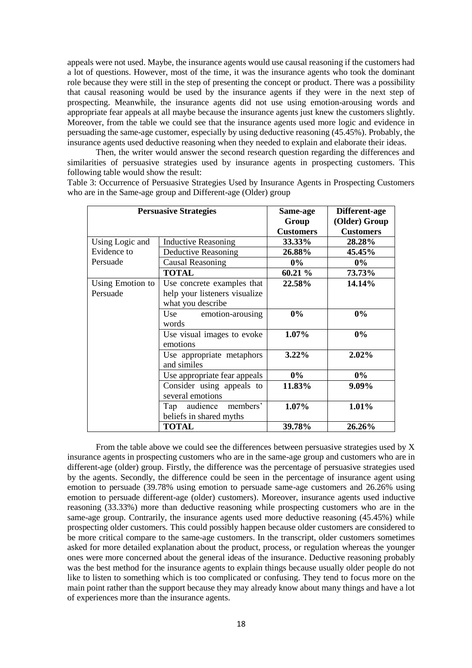appeals were not used. Maybe, the insurance agents would use causal reasoning if the customers had a lot of questions. However, most of the time, it was the insurance agents who took the dominant role because they were still in the step of presenting the concept or product. There was a possibility that causal reasoning would be used by the insurance agents if they were in the next step of prospecting. Meanwhile, the insurance agents did not use using emotion-arousing words and appropriate fear appeals at all maybe because the insurance agents just knew the customers slightly. Moreover, from the table we could see that the insurance agents used more logic and evidence in persuading the same-age customer, especially by using deductive reasoning (45.45%). Probably, the insurance agents used deductive reasoning when they needed to explain and elaborate their ideas.

Then, the writer would answer the second research question regarding the differences and similarities of persuasive strategies used by insurance agents in prospecting customers. This following table would show the result:

Table 3: Occurrence of Persuasive Strategies Used by Insurance Agents in Prospecting Customers who are in the Same-age group and Different-age (Older) group

| <b>Persuasive Strategies</b> |                                                                                  | Same-age<br>Group<br><b>Customers</b> | Different-age<br>(Older) Group<br><b>Customers</b> |
|------------------------------|----------------------------------------------------------------------------------|---------------------------------------|----------------------------------------------------|
| Using Logic and              | <b>Inductive Reasoning</b>                                                       | 33.33%                                | 28.28%                                             |
| Evidence to                  | Deductive Reasoning                                                              | 26.88%                                | 45.45%                                             |
| Persuade                     | <b>Causal Reasoning</b>                                                          | $0\%$                                 | $0\%$                                              |
|                              | <b>TOTAL</b>                                                                     | 60.21 %                               | 73.73%                                             |
| Using Emotion to<br>Persuade | Use concrete examples that<br>help your listeners visualize<br>what you describe | 22.58%                                | 14.14%                                             |
|                              | Use emotion-arousing<br>words                                                    | $0\%$                                 | $0\%$                                              |
|                              | Use visual images to evoke<br>emotions                                           | $1.07\%$                              | $0\%$                                              |
|                              | Use appropriate metaphors<br>and similes                                         | $3.22\%$                              | 2.02%                                              |
|                              | Use appropriate fear appeals                                                     | $0\%$                                 | $0\%$                                              |
|                              | Consider using appeals to<br>several emotions                                    | 11.83%                                | 9.09%                                              |
|                              | members'<br>audience<br>Tap<br>beliefs in shared myths                           | 1.07%                                 | 1.01%                                              |
|                              | <b>TOTAL</b>                                                                     | 39.78%                                | 26.26%                                             |

From the table above we could see the differences between persuasive strategies used by X insurance agents in prospecting customers who are in the same-age group and customers who are in different-age (older) group. Firstly, the difference was the percentage of persuasive strategies used by the agents. Secondly, the difference could be seen in the percentage of insurance agent using emotion to persuade (39.78% using emotion to persuade same-age customers and 26.26% using emotion to persuade different-age (older) customers). Moreover, insurance agents used inductive reasoning (33.33%) more than deductive reasoning while prospecting customers who are in the same-age group. Contrarily, the insurance agents used more deductive reasoning (45.45%) while prospecting older customers. This could possibly happen because older customers are considered to be more critical compare to the same-age customers. In the transcript, older customers sometimes asked for more detailed explanation about the product, process, or regulation whereas the younger ones were more concerned about the general ideas of the insurance. Deductive reasoning probably was the best method for the insurance agents to explain things because usually older people do not like to listen to something which is too complicated or confusing. They tend to focus more on the main point rather than the support because they may already know about many things and have a lot of experiences more than the insurance agents.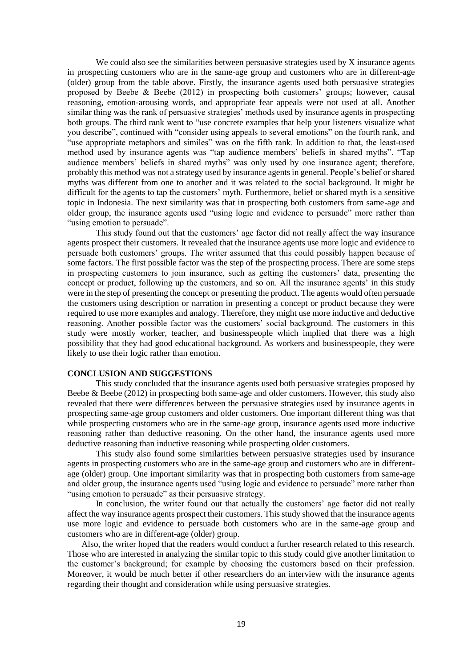We could also see the similarities between persuasive strategies used by X insurance agents in prospecting customers who are in the same-age group and customers who are in different-age (older) group from the table above. Firstly, the insurance agents used both persuasive strategies proposed by Beebe & Beebe (2012) in prospecting both customers' groups; however, causal reasoning, emotion-arousing words, and appropriate fear appeals were not used at all. Another similar thing was the rank of persuasive strategies' methods used by insurance agents in prospecting both groups. The third rank went to "use concrete examples that help your listeners visualize what you describe", continued with "consider using appeals to several emotions" on the fourth rank, and "use appropriate metaphors and similes" was on the fifth rank. In addition to that, the least-used method used by insurance agents was "tap audience members' beliefs in shared myths". "Tap audience members' beliefs in shared myths" was only used by one insurance agent; therefore, probably this method was not a strategy used by insurance agents in general. People's belief or shared myths was different from one to another and it was related to the social background. It might be difficult for the agents to tap the customers' myth. Furthermore, belief or shared myth is a sensitive topic in Indonesia. The next similarity was that in prospecting both customers from same-age and older group, the insurance agents used "using logic and evidence to persuade" more rather than "using emotion to persuade".

This study found out that the customers' age factor did not really affect the way insurance agents prospect their customers. It revealed that the insurance agents use more logic and evidence to persuade both customers' groups. The writer assumed that this could possibly happen because of some factors. The first possible factor was the step of the prospecting process. There are some steps in prospecting customers to join insurance, such as getting the customers' data, presenting the concept or product, following up the customers, and so on. All the insurance agents' in this study were in the step of presenting the concept or presenting the product. The agents would often persuade the customers using description or narration in presenting a concept or product because they were required to use more examples and analogy. Therefore, they might use more inductive and deductive reasoning. Another possible factor was the customers' social background. The customers in this study were mostly worker, teacher, and businesspeople which implied that there was a high possibility that they had good educational background. As workers and businesspeople, they were likely to use their logic rather than emotion.

## **CONCLUSION AND SUGGESTIONS**

This study concluded that the insurance agents used both persuasive strategies proposed by Beebe & Beebe (2012) in prospecting both same-age and older customers. However, this study also revealed that there were differences between the persuasive strategies used by insurance agents in prospecting same-age group customers and older customers. One important different thing was that while prospecting customers who are in the same-age group, insurance agents used more inductive reasoning rather than deductive reasoning. On the other hand, the insurance agents used more deductive reasoning than inductive reasoning while prospecting older customers.

This study also found some similarities between persuasive strategies used by insurance agents in prospecting customers who are in the same-age group and customers who are in differentage (older) group. One important similarity was that in prospecting both customers from same-age and older group, the insurance agents used "using logic and evidence to persuade" more rather than "using emotion to persuade" as their persuasive strategy.

In conclusion, the writer found out that actually the customers' age factor did not really affect the way insurance agents prospect their customers. This study showed that the insurance agents use more logic and evidence to persuade both customers who are in the same-age group and customers who are in different-age (older) group.

Also, the writer hoped that the readers would conduct a further research related to this research. Those who are interested in analyzing the similar topic to this study could give another limitation to the customer's background; for example by choosing the customers based on their profession. Moreover, it would be much better if other researchers do an interview with the insurance agents regarding their thought and consideration while using persuasive strategies.